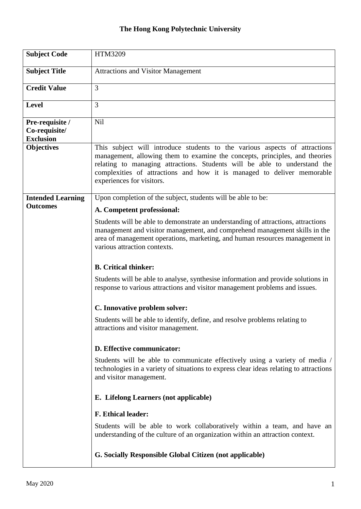| <b>Subject Code</b>                                  | HTM3209                                                                                                                                                                                                                                                                                                                                       |
|------------------------------------------------------|-----------------------------------------------------------------------------------------------------------------------------------------------------------------------------------------------------------------------------------------------------------------------------------------------------------------------------------------------|
| <b>Subject Title</b>                                 | <b>Attractions and Visitor Management</b>                                                                                                                                                                                                                                                                                                     |
| <b>Credit Value</b>                                  | 3                                                                                                                                                                                                                                                                                                                                             |
| <b>Level</b>                                         | 3                                                                                                                                                                                                                                                                                                                                             |
| Pre-requisite /<br>Co-requisite/<br><b>Exclusion</b> | <b>Nil</b>                                                                                                                                                                                                                                                                                                                                    |
| <b>Objectives</b>                                    | This subject will introduce students to the various aspects of attractions<br>management, allowing them to examine the concepts, principles, and theories<br>relating to managing attractions. Students will be able to understand the<br>complexities of attractions and how it is managed to deliver memorable<br>experiences for visitors. |
| <b>Intended Learning</b>                             | Upon completion of the subject, students will be able to be:                                                                                                                                                                                                                                                                                  |
| <b>Outcomes</b>                                      | A. Competent professional:                                                                                                                                                                                                                                                                                                                    |
|                                                      | Students will be able to demonstrate an understanding of attractions, attractions<br>management and visitor management, and comprehend management skills in the<br>area of management operations, marketing, and human resources management in<br>various attraction contexts.                                                                |
|                                                      | <b>B.</b> Critical thinker:                                                                                                                                                                                                                                                                                                                   |
|                                                      | Students will be able to analyse, synthesise information and provide solutions in<br>response to various attractions and visitor management problems and issues.                                                                                                                                                                              |
|                                                      | C. Innovative problem solver:                                                                                                                                                                                                                                                                                                                 |
|                                                      | Students will be able to identify, define, and resolve problems relating to<br>attractions and visitor management.                                                                                                                                                                                                                            |
|                                                      | D. Effective communicator:                                                                                                                                                                                                                                                                                                                    |
|                                                      | Students will be able to communicate effectively using a variety of media /<br>technologies in a variety of situations to express clear ideas relating to attractions<br>and visitor management.                                                                                                                                              |
|                                                      | E. Lifelong Learners (not applicable)                                                                                                                                                                                                                                                                                                         |
|                                                      | <b>F. Ethical leader:</b>                                                                                                                                                                                                                                                                                                                     |
|                                                      | Students will be able to work collaboratively within a team, and have an<br>understanding of the culture of an organization within an attraction context.                                                                                                                                                                                     |
|                                                      | G. Socially Responsible Global Citizen (not applicable)                                                                                                                                                                                                                                                                                       |